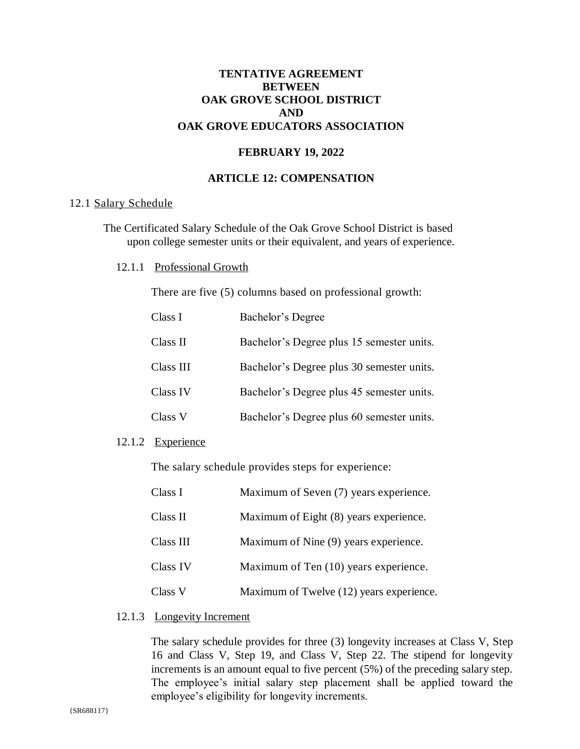# **TENTATIVE AGREEMENT BETWEEN OAK GROVE SCHOOL DISTRICT AND OAK GROVE EDUCATORS ASSOCIATION**

# **FEBRUARY 19, 2022**

# **ARTICLE 12: COMPENSATION**

### 12.1 Salary Schedule

The Certificated Salary Schedule of the Oak Grove School District is based upon college semester units or their equivalent, and years of experience.

12.1.1 Professional Growth

There are five (5) columns based on professional growth:

| Class I   | Bachelor's Degree                         |
|-----------|-------------------------------------------|
| Class II  | Bachelor's Degree plus 15 semester units. |
| Class III | Bachelor's Degree plus 30 semester units. |
| Class IV  | Bachelor's Degree plus 45 semester units. |
| Class V   | Bachelor's Degree plus 60 semester units. |

# 12.1.2 Experience

The salary schedule provides steps for experience:

| Class I   | Maximum of Seven (7) years experience.   |
|-----------|------------------------------------------|
| Class II  | Maximum of Eight (8) years experience.   |
| Class III | Maximum of Nine (9) years experience.    |
| Class IV  | Maximum of Ten (10) years experience.    |
| Class V   | Maximum of Twelve (12) years experience. |

# 12.1.3 Longevity Increment

The salary schedule provides for three (3) longevity increases at Class V, Step 16 and Class V, Step 19, and Class V, Step 22. The stipend for longevity increments is an amount equal to five percent  $(5\%)$  of the preceding salary step. The employee's initial salary step placement shall be applied toward the employee's eligibility for longevity increments.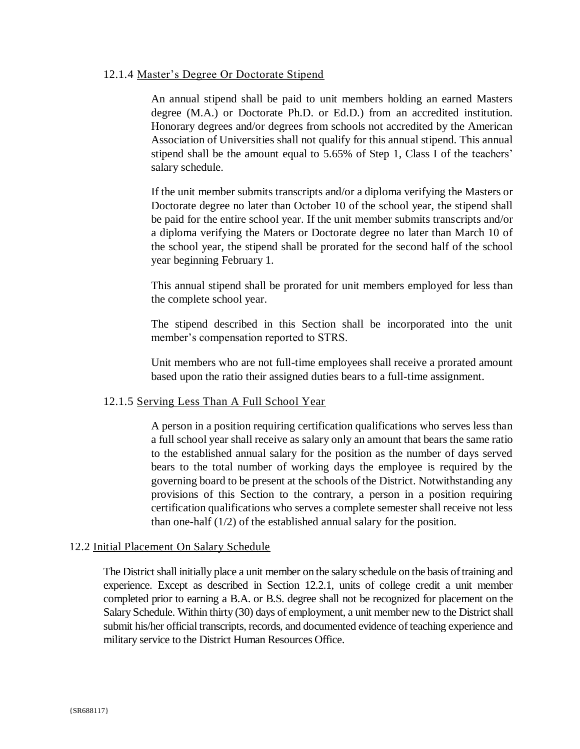### 12.1.4 Master's Degree Or Doctorate Stipend

An annual stipend shall be paid to unit members holding an earned Masters degree (M.A.) or Doctorate Ph.D. or Ed.D.) from an accredited institution. Honorary degrees and/or degrees from schools not accredited by the American Association of Universities shall not qualify for this annual stipend. This annual stipend shall be the amount equal to 5.65% of Step 1, Class I of the teachers' salary schedule.

If the unit member submits transcripts and/or a diploma verifying the Masters or Doctorate degree no later than October 10 of the school year, the stipend shall be paid for the entire school year. If the unit member submits transcripts and/or a diploma verifying the Maters or Doctorate degree no later than March 10 of the school year, the stipend shall be prorated for the second half of the school year beginning February 1.

This annual stipend shall be prorated for unit members employed for less than the complete school year.

The stipend described in this Section shall be incorporated into the unit member's compensation reported to STRS.

Unit members who are not full-time employees shall receive a prorated amount based upon the ratio their assigned duties bears to a full-time assignment.

# 12.1.5 Serving Less Than A Full School Year

A person in a position requiring certification qualifications who serves less than a full school year shall receive as salary only an amount that bears the same ratio to the established annual salary for the position as the number of days served bears to the total number of working days the employee is required by the governing board to be present at the schools of the District. Notwithstanding any provisions of this Section to the contrary, a person in a position requiring certification qualifications who serves a complete semester shall receive not less than one-half  $(1/2)$  of the established annual salary for the position.

#### 12.2 Initial Placement On Salary Schedule

The District shall initially place a unit member on the salary schedule on the basis of training and experience. Except as described in Section 12.2.1, units of college credit a unit member completed prior to earning a B.A. or B.S. degree shall not be recognized for placement on the Salary Schedule. Within thirty (30) days of employment, a unit member new to the District shall submit his/her official transcripts, records, and documented evidence of teaching experience and military service to the District Human Resources Office.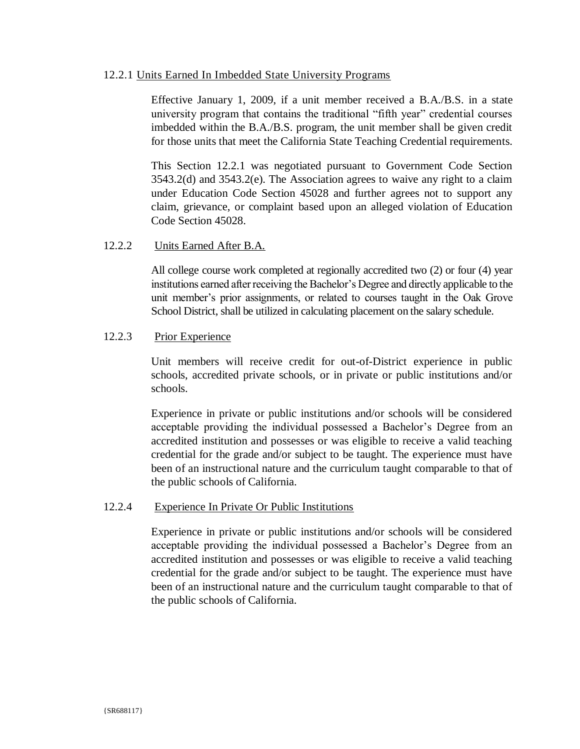### 12.2.1 Units Earned In Imbedded State University Programs

Effective January 1, 2009, if a unit member received a B.A./B.S. in a state university program that contains the traditional "fifth year" credential courses imbedded within the B.A./B.S. program, the unit member shall be given credit for those units that meet the California State Teaching Credential requirements.

This Section 12.2.1 was negotiated pursuant to Government Code Section  $3543.2(d)$  and  $3543.2(e)$ . The Association agrees to waive any right to a claim under Education Code Section 45028 and further agrees not to support any claim, grievance, or complaint based upon an alleged violation of Education Code Section 45028

#### $12.2.2.$ Units Earned After B.A.

All college course work completed at regionally accredited two (2) or four (4) year institutions earned after receiving the Bachelor's Degree and directly applicable to the unit member's prior assignments, or related to courses taught in the Oak Grove School District, shall be utilized in calculating placement on the salary schedule.

#### 12.2.3 **Prior Experience**

Unit members will receive credit for out-of-District experience in public schools, accredited private schools, or in private or public institutions and/or schools.

Experience in private or public institutions and/or schools will be considered acceptable providing the individual possessed a Bachelor's Degree from an accredited institution and possesses or was eligible to receive a valid teaching credential for the grade and/or subject to be taught. The experience must have been of an instructional nature and the curriculum taught comparable to that of the public schools of California.

#### $12.2.4$ Experience In Private Or Public Institutions

Experience in private or public institutions and/or schools will be considered acceptable providing the individual possessed a Bachelor's Degree from an accredited institution and possesses or was eligible to receive a valid teaching credential for the grade and/or subject to be taught. The experience must have been of an instructional nature and the curriculum taught comparable to that of the public schools of California.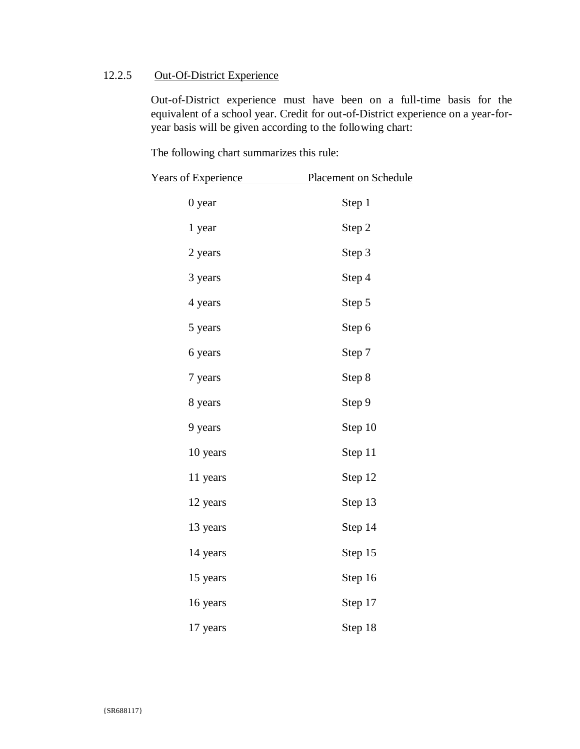#### **Out-Of-District Experience** 12.2.5

Out-of-District experience must have been on a full-time basis for the equivalent of a school year. Credit for out-of-District experience on a year-foryear basis will be given according to the following chart:

The following chart summarizes this rule:

| <b>Years of Experience</b> | <b>Placement on Schedule</b> |
|----------------------------|------------------------------|
| $0$ year                   | Step 1                       |
| 1 year                     | Step 2                       |
| 2 years                    | Step 3                       |
| 3 years                    | Step 4                       |
| 4 years                    | Step 5                       |
| 5 years                    | Step 6                       |
| 6 years                    | Step 7                       |
| 7 years                    | Step 8                       |
| 8 years                    | Step 9                       |
| 9 years                    | Step 10                      |
| 10 years                   | Step 11                      |
| 11 years                   | Step 12                      |
| 12 years                   | Step 13                      |
| 13 years                   | Step 14                      |
| 14 years                   | Step 15                      |
| 15 years                   | Step 16                      |
| 16 years                   | Step 17                      |
| 17 years                   | Step 18                      |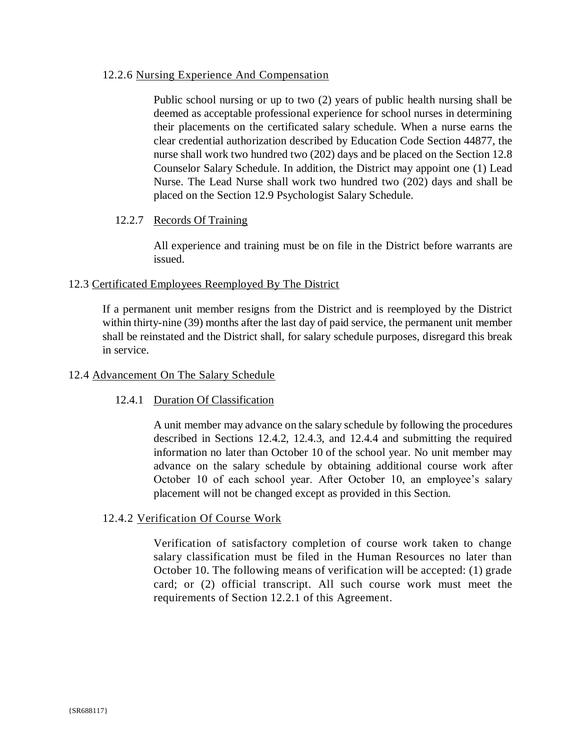# 12.2.6 Nursing Experience And Compensation

Public school nursing or up to two (2) years of public health nursing shall be deemed as acceptable professional experience for school nurses in determining their placements on the certificated salary schedule. When a nurse earns the clear credential authorization described by Education Code Section 44877, the nurse shall work two hundred two (202) days and be placed on the Section 12.8 Counselor Salary Schedule. In addition, the District may appoint one (1) Lead Nurse. The Lead Nurse shall work two hundred two (202) days and shall be placed on the Section 12.9 Psychologist Salary Schedule.

# 12.2.7 Records Of Training

All experience and training must be on file in the District before warrants are issued.

# 12.3 Certificated Employees Reemployed By The District

If a permanent unit member resigns from the District and is reemployed by the District within thirty-nine (39) months after the last day of paid service, the permanent unit member shall be reinstated and the District shall, for salary schedule purposes, disregard this break in service.

# 12.4 Advancement On The Salary Schedule

# 12.4.1 Duration Of Classification

A unit member may advance on the salary schedule by following the procedures described in Sections 12.4.2, 12.4.3, and 12.4.4 and submitting the required information no later than October 10 of the school year. No unit member may advance on the salary schedule by obtaining additional course work after October 10 of each school year. After October 10, an employee's salary placement will not be changed except as provided in this Section.

# 12.4.2 Verification Of Course Work

Verification of satisfactory completion of course work taken to change salary classification must be filed in the Human Resources no later than October 10. The following means of verification will be accepted: (1) grade card; or (2) official transcript. All such course work must meet the requirements of Section 12.2.1 of this Agreement.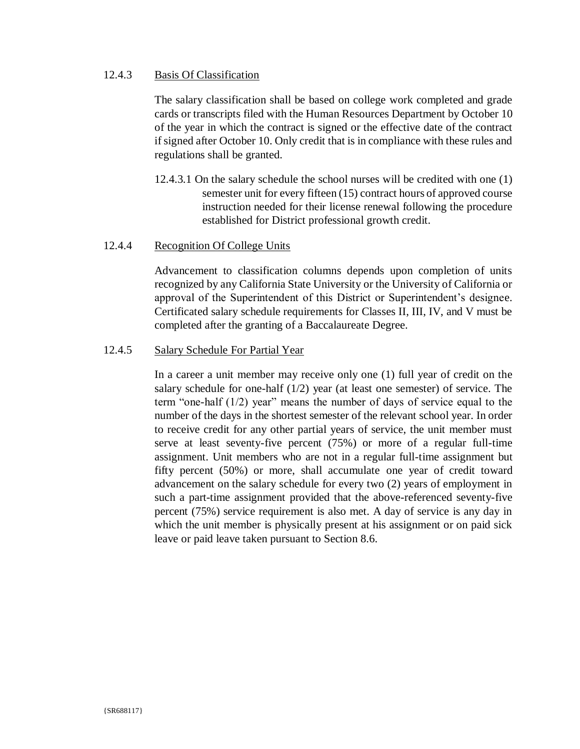#### 12.4.3 **Basis Of Classification**

The salary classification shall be based on college work completed and grade cards or transcripts filed with the Human Resources Department by October 10 of the year in which the contract is signed or the effective date of the contract if signed after October 10. Only credit that is in compliance with these rules and regulations shall be granted.

12.4.3.1 On the salary schedule the school nurses will be credited with one (1) semester unit for every fifteen (15) contract hours of approved course instruction needed for their license renewal following the procedure established for District professional growth credit.

#### 12.4.4 **Recognition Of College Units**

Advancement to classification columns depends upon completion of units recognized by any California State University or the University of California or approval of the Superintendent of this District or Superintendent's designee. Certificated salary schedule requirements for Classes II, III, IV, and V must be completed after the granting of a Baccalaureate Degree.

#### 12.4.5 Salary Schedule For Partial Year

In a career a unit member may receive only one  $(1)$  full year of credit on the salary schedule for one-half  $(1/2)$  year (at least one semester) of service. The term "one-half  $(1/2)$  year" means the number of days of service equal to the number of the days in the shortest semester of the relevant school year. In order to receive credit for any other partial years of service, the unit member must serve at least seventy-five percent (75%) or more of a regular full-time assignment. Unit members who are not in a regular full-time assignment but fifty percent (50%) or more, shall accumulate one year of credit toward advancement on the salary schedule for every two (2) years of employment in such a part-time assignment provided that the above-referenced seventy-five percent (75%) service requirement is also met. A day of service is any day in which the unit member is physically present at his assignment or on paid sick leave or paid leave taken pursuant to Section 8.6.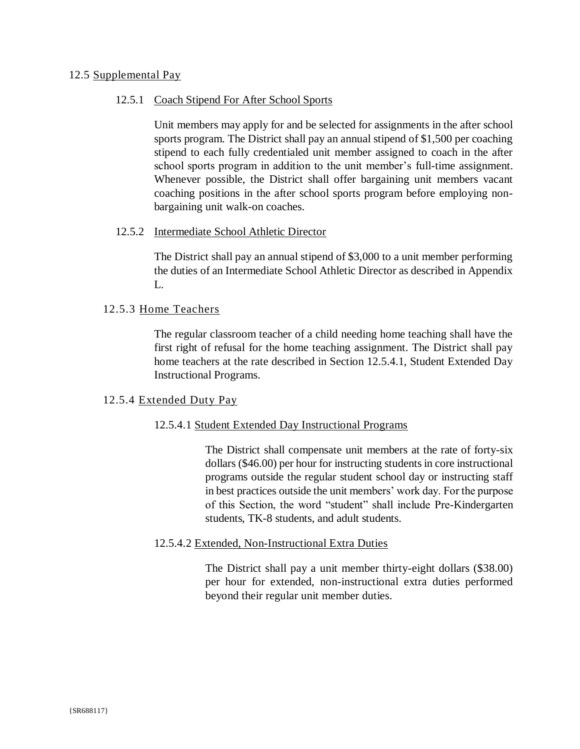## 12.5 Supplemental Pay

## 12.5.1 Coach Stipend For After School Sports

Unit members may apply for and be selected for assignments in the after school sports program. The District shall pay an annual stipend of \$1,500 per coaching stipend to each fully credentialed unit member assigned to coach in the after school sports program in addition to the unit member's full-time assignment. Whenever possible, the District shall offer bargaining unit members vacant coaching positions in the after school sports program before employing nonbargaining unit walk-on coaches.

### 12.5.2 Intermediate School Athletic Director

The District shall pay an annual stipend of \$3,000 to a unit member performing the duties of an Intermediate School Athletic Director as described in Appendix L.

### 12.5.3 Home Teachers

The regular classroom teacher of a child needing home teaching shall have the first right of refusal for the home teaching assignment. The District shall pay home teachers at the rate described in Section 12.5.4.1, Student Extended Day **Instructional Programs.** 

# 12.5.4 Extended Duty Pay

#### 12.5.4.1 Student Extended Day Instructional Programs

The District shall compensate unit members at the rate of forty-six dollars (\$46.00) per hour for instructing students in core instructional programs outside the regular student school day or instructing staff in best practices outside the unit members' work day. For the purpose of this Section, the word "student" shall include Pre-Kindergarten students. TK-8 students, and adult students.

#### 12.5.4.2 Extended, Non-Instructional Extra Duties

The District shall pay a unit member thirty-eight dollars (\$38.00) per hour for extended, non-instructional extra duties performed beyond their regular unit member duties.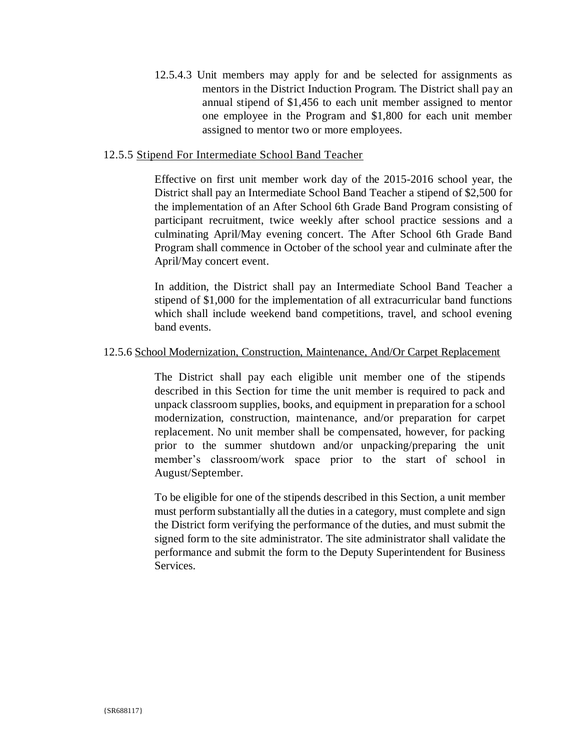12.5.4.3 Unit members may apply for and be selected for assignments as mentors in the District Induction Program. The District shall pay an annual stipend of \$1,456 to each unit member assigned to mentor one employee in the Program and \$1,800 for each unit member assigned to mentor two or more employees.

# 12.5.5 Stipend For Intermediate School Band Teacher

Effective on first unit member work day of the 2015-2016 school year, the District shall pay an Intermediate School Band Teacher a stipend of \$2,500 for the implementation of an After School 6th Grade Band Program consisting of participant recruitment, twice weekly after school practice sessions and a culminating April/May evening concert. The After School 6th Grade Band Program shall commence in October of the school year and culminate after the April/May concert event.

In addition, the District shall pay an Intermediate School Band Teacher a stipend of \$1,000 for the implementation of all extracurricular band functions which shall include weekend band competitions, travel, and school evening band events.

### 12.5.6 School Modernization, Construction, Maintenance, And/Or Carpet Replacement

The District shall pay each eligible unit member one of the stipends described in this Section for time the unit member is required to pack and unpack classroom supplies, books, and equipment in preparation for a school modernization, construction, maintenance, and/or preparation for carpet replacement. No unit member shall be compensated, however, for packing prior to the summer shutdown and/or unpacking/preparing the unit member's classroom/work space prior to the start of school in August/September.

To be eligible for one of the stipends described in this Section, a unit member must perform substantially all the duties in a category, must complete and sign the District form verifying the performance of the duties, and must submit the signed form to the site administrator. The site administrator shall validate the performance and submit the form to the Deputy Superintendent for Business Services.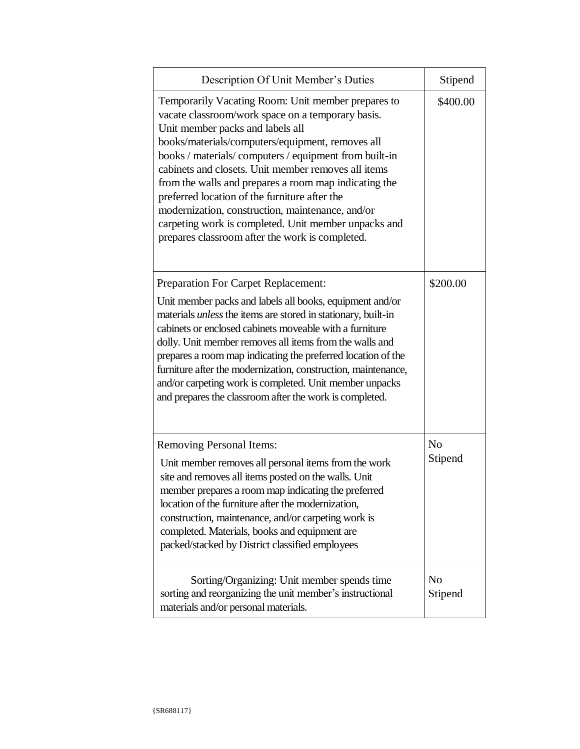| Description Of Unit Member's Duties                                                                                                                                                                                                                                                                                                                                                                                                                                                                                                                                                       | Stipend                   |
|-------------------------------------------------------------------------------------------------------------------------------------------------------------------------------------------------------------------------------------------------------------------------------------------------------------------------------------------------------------------------------------------------------------------------------------------------------------------------------------------------------------------------------------------------------------------------------------------|---------------------------|
| Temporarily Vacating Room: Unit member prepares to<br>vacate classroom/work space on a temporary basis.<br>Unit member packs and labels all<br>books/materials/computers/equipment, removes all<br>books / materials/ computers / equipment from built-in<br>cabinets and closets. Unit member removes all items<br>from the walls and prepares a room map indicating the<br>preferred location of the furniture after the<br>modernization, construction, maintenance, and/or<br>carpeting work is completed. Unit member unpacks and<br>prepares classroom after the work is completed. | \$400.00                  |
| <b>Preparation For Carpet Replacement:</b><br>Unit member packs and labels all books, equipment and/or<br>materials <i>unless</i> the items are stored in stationary, built-in<br>cabinets or enclosed cabinets moveable with a furniture<br>dolly. Unit member removes all items from the walls and<br>prepares a room map indicating the preferred location of the<br>furniture after the modernization, construction, maintenance,<br>and/or carpeting work is completed. Unit member unpacks<br>and prepares the classroom after the work is completed.                               | \$200.00                  |
| <b>Removing Personal Items:</b><br>Unit member removes all personal items from the work<br>site and removes all items posted on the walls. Unit<br>member prepares a room map indicating the preferred<br>location of the furniture after the modernization,<br>construction, maintenance, and/or carpeting work is<br>completed. Materials, books and equipment are<br>packed/stacked by District classified employees                                                                                                                                                                   | N <sub>0</sub><br>Stipend |
| Sorting/Organizing: Unit member spends time<br>sorting and reorganizing the unit member's instructional<br>materials and/or personal materials.                                                                                                                                                                                                                                                                                                                                                                                                                                           | N <sub>0</sub><br>Stipend |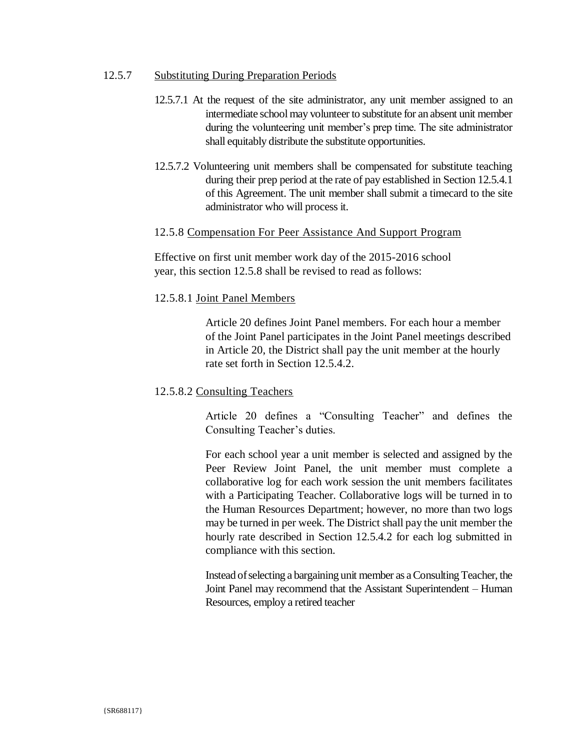#### $12.5.7$ **Substituting During Preparation Periods**

- 12.5.7.1 At the request of the site administrator, any unit member assigned to an intermediate school may volunteer to substitute for an absent unit member during the volunteering unit member's prep time. The site administrator shall equitably distribute the substitute opportunities.
- 12.5.7.2 Volunteering unit members shall be compensated for substitute teaching during their prep period at the rate of pay established in Section 12.5.4.1 of this Agreement. The unit member shall submit a timecard to the site administrator who will process it.

### 12.5.8 Compensation For Peer Assistance And Support Program

Effective on first unit member work day of the 2015-2016 school year, this section 12.5.8 shall be revised to read as follows:

### 12.5.8.1 Joint Panel Members

Article 20 defines Joint Panel members. For each hour a member of the Joint Panel participates in the Joint Panel meetings described in Article 20, the District shall pay the unit member at the hourly rate set forth in Section 12.5.4.2.

# 12.5.8.2 Consulting Teachers

Article 20 defines a "Consulting Teacher" and defines the Consulting Teacher's duties.

For each school year a unit member is selected and assigned by the Peer Review Joint Panel, the unit member must complete a collaborative log for each work session the unit members facilitates with a Participating Teacher. Collaborative logs will be turned in to the Human Resources Department; however, no more than two logs may be turned in per week. The District shall pay the unit member the hourly rate described in Section 12.5.4.2 for each log submitted in compliance with this section.

Instead of selecting a bargaining unit member as a Consulting Teacher, the Joint Panel may recommend that the Assistant Superintendent – Human Resources, employ a retired teacher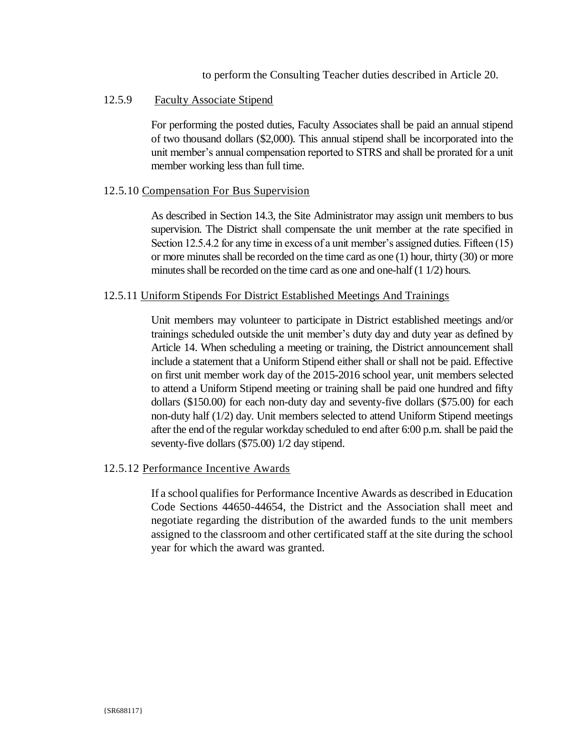to perform the Consulting Teacher duties described in Article 20.

#### 12.5.9 **Faculty Associate Stipend**

For performing the posted duties, Faculty Associates shall be paid an annual stipend of two thousand dollars (\$2,000). This annual stipend shall be incorporated into the unit member's annual compensation reported to STRS and shall be prorated for a unit member working less than full time.

### 12.5.10 Compensation For Bus Supervision

As described in Section 14.3, the Site Administrator may assign unit members to bus supervision. The District shall compensate the unit member at the rate specified in Section 12.5.4.2 for any time in excess of a unit member's assigned duties. Fifteen (15) or more minutes shall be recorded on the time card as one  $(1)$  hour, thirty  $(30)$  or more minutes shall be recorded on the time card as one and one-half (1 1/2) hours.

### 12.5.11 Uniform Stipends For District Established Meetings And Trainings

Unit members may volunteer to participate in District established meetings and/or trainings scheduled outside the unit member's duty day and duty year as defined by Article 14. When scheduling a meeting or training, the District announcement shall include a statement that a Uniform Stipend either shall or shall not be paid. Effective on first unit member work day of the 2015-2016 school year, unit members selected to attend a Uniform Stipend meeting or training shall be paid one hundred and fifty dollars (\$150.00) for each non-duty day and seventy-five dollars (\$75.00) for each non-duty half (1/2) day. Unit members selected to attend Uniform Stipend meetings after the end of the regular workday scheduled to end after 6:00 p.m. shall be paid the seventy-five dollars (\$75.00) 1/2 day stipend.

# 12.5.12 Performance Incentive Awards

If a school qualifies for Performance Incentive Awards as described in Education Code Sections 44650-44654, the District and the Association shall meet and negotiate regarding the distribution of the awarded funds to the unit members assigned to the classroom and other certificated staff at the site during the school year for which the award was granted.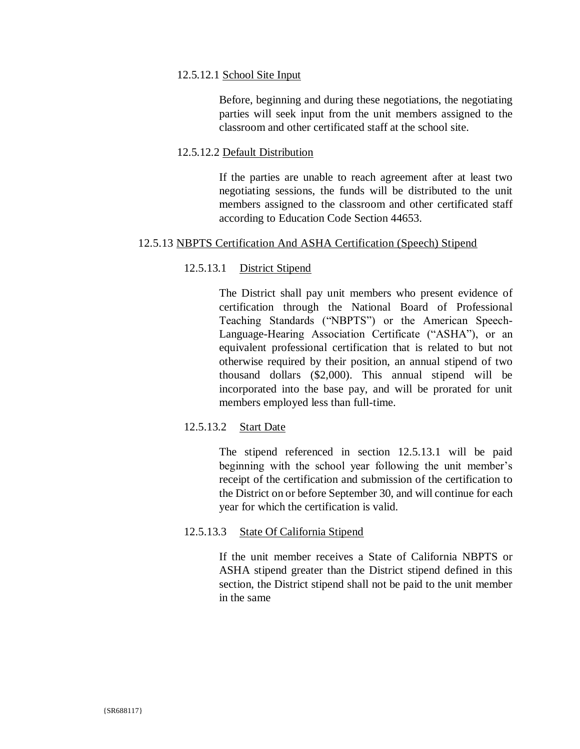## 12.5.12.1 School Site Input

Before, beginning and during these negotiations, the negotiating parties will seek input from the unit members assigned to the classroom and other certificated staff at the school site.

# 12.5.12.2 Default Distribution

If the parties are unable to reach agreement after at least two negotiating sessions, the funds will be distributed to the unit members assigned to the classroom and other certificated staff according to Education Code Section 44653.

# 12.5.13 NBPTS Certification And ASHA Certification (Speech) Stipend

#### $12.5.13.1$ **District Stipend**

The District shall pay unit members who present evidence of certification through the National Board of Professional Teaching Standards ("NBPTS") or the American Speech-Language-Hearing Association Certificate ("ASHA"), or an equivalent professional certification that is related to but not otherwise required by their position, an annual stipend of two thousand dollars (\$2,000). This annual stipend will be incorporated into the base pay, and will be prorated for unit members employed less than full-time.

#### 12.5.13.2 **Start Date**

The stipend referenced in section 12.5.13.1 will be paid beginning with the school year following the unit member's receipt of the certification and submission of the certification to the District on or before September 30, and will continue for each vear for which the certification is valid.

#### 12.5.13.3 **State Of California Stipend**

If the unit member receives a State of California NBPTS or ASHA stipend greater than the District stipend defined in this section, the District stipend shall not be paid to the unit member in the same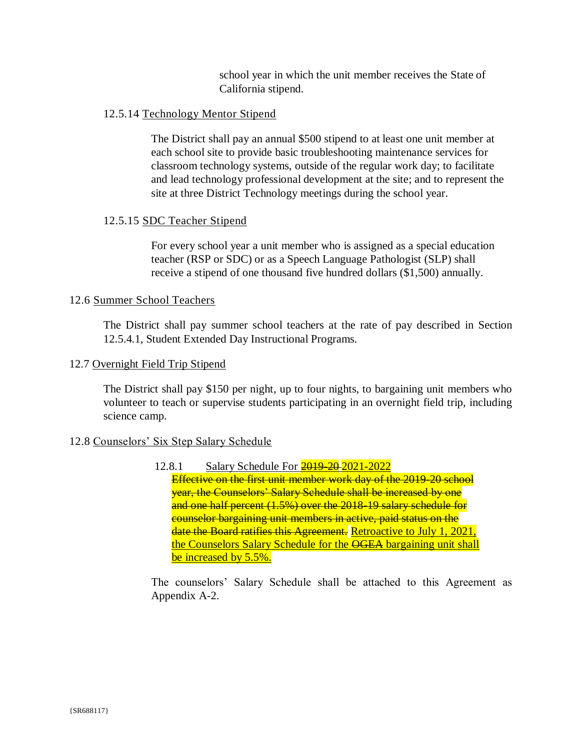school year in which the unit member receives the State of California stipend.

# 12.5.14 Technology Mentor Stipend

The District shall pay an annual \$500 stipend to at least one unit member at each school site to provide basic troubleshooting maintenance services for classroom technology systems, outside of the regular work day; to facilitate and lead technology professional development at the site; and to represent the site at three District Technology meetings during the school year.

# 12.5.15 SDC Teacher Stipend

For every school year a unit member who is assigned as a special education teacher (RSP or SDC) or as a Speech Language Pathologist (SLP) shall receive a stipend of one thousand five hundred dollars (\$1,500) annually.

# 12.6 Summer School Teachers

The District shall pay summer school teachers at the rate of pay described in Section 12.5.4.1, Student Extended Day Instructional Programs.

# 12.7 Overnight Field Trip Stipend

The District shall pay \$150 per night, up to four nights, to bargaining unit members who volunteer to teach or supervise students participating in an overnight field trip, including science camp.

# 12.8 Counselors' Six Step Salary Schedule

Salary Schedule For 2019-20-2021-2022 12.8.1 Effective on the first unit member work day of the 2019-20 school year, the Counselors' Salary Schedule shall be increased by one and one half percent (1.5%) over the 2018-19 salary schedule for counselor bargaining unit members in active, paid status on the date the Board ratifies this Agreement. Retroactive to July 1, 2021, the Counselors Salary Schedule for the OGEA bargaining unit shall be increased by 5.5%.

The counselors' Salary Schedule shall be attached to this Agreement as Appendix A-2.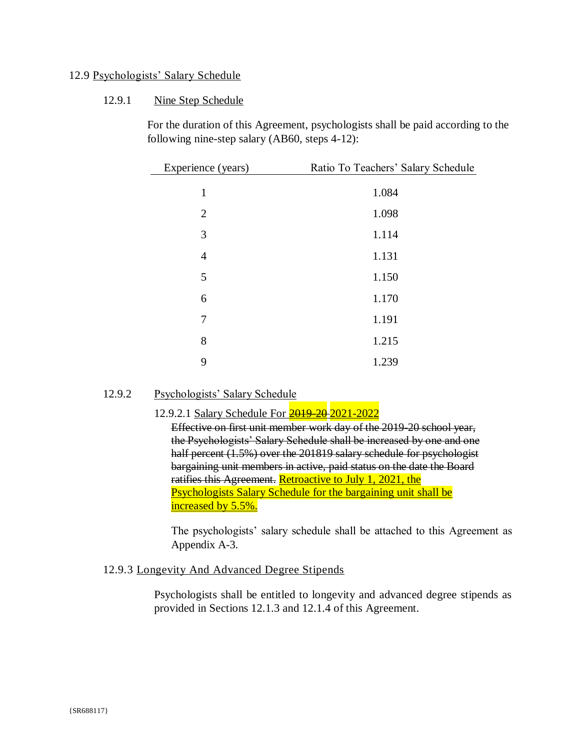# 12.9 Psychologists' Salary Schedule

#### 12.9.1 Nine Step Schedule

For the duration of this Agreement, psychologists shall be paid according to the following nine-step salary (AB60, steps 4-12):

| Experience (years) | Ratio To Teachers' Salary Schedule |
|--------------------|------------------------------------|
| $\mathbf{1}$       | 1.084                              |
| $\overline{2}$     | 1.098                              |
| 3                  | 1.114                              |
| $\overline{4}$     | 1.131                              |
| 5                  | 1.150                              |
| 6                  | 1.170                              |
| 7                  | 1.191                              |
| 8                  | 1.215                              |
| 9                  | 1.239                              |

#### 12.9.2 Psychologists' Salary Schedule

# 12.9.2.1 Salary Schedule For 2019-20 2021-2022

Effective on first unit member work day of the 2019-20 school year, the Psychologists' Salary Schedule shall be increased by one and one half percent (1.5%) over the 201819 salary schedule for psychologist bargaining unit members in active, paid status on the date the Board ratifies this Agreement. Retroactive to July 1, 2021, the Psychologists Salary Schedule for the bargaining unit shall be increased by 5.5%.

The psychologists' salary schedule shall be attached to this Agreement as Appendix A-3.

# 12.9.3 Longevity And Advanced Degree Stipends

Psychologists shall be entitled to longevity and advanced degree stipends as provided in Sections 12.1.3 and 12.1.4 of this Agreement.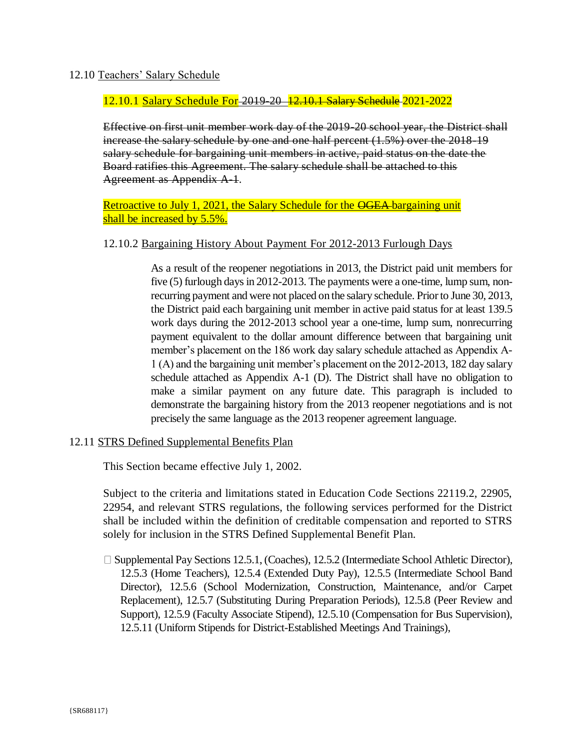# 12.10 Teachers' Salary Schedule

## 12.10.1 Salary Schedule For 2019-20 12.10.1 Salary Schedule 2021-2022

Effective on first unit member work day of the 2019-20 school year, the District shall increase the salary schedule by one and one half percent (1.5%) over the 2018-19 salary schedule for bargaining unit members in active, paid status on the date the Board ratifies this Agreement. The salary schedule shall be attached to this Agreement as Appendix A-1.

# Retroactive to July 1, 2021, the Salary Schedule for the OGEA-bargaining unit shall be increased by 5.5%.

# 12.10.2 Bargaining History About Payment For 2012-2013 Furlough Days

As a result of the reopener negotiations in 2013, the District paid unit members for five (5) furlough days in 2012-2013. The payments were a one-time, lump sum, nonrecurring payment and were not placed on the salary schedule. Prior to June 30, 2013, the District paid each bargaining unit member in active paid status for at least 139.5 work days during the 2012-2013 school year a one-time, lump sum, nonrecurring payment equivalent to the dollar amount difference between that bargaining unit member's placement on the 186 work day salary schedule attached as Appendix A-1 (A) and the bargaining unit member's placement on the 2012-2013, 182 day salary schedule attached as Appendix A-1 (D). The District shall have no obligation to make a similar payment on any future date. This paragraph is included to demonstrate the bargaining history from the 2013 reopener negotiations and is not precisely the same language as the 2013 reopener agreement language.

# 12.11 STRS Defined Supplemental Benefits Plan

This Section became effective July 1, 2002.

Subject to the criteria and limitations stated in Education Code Sections 22119.2, 22905, 22954, and relevant STRS regulations, the following services performed for the District shall be included within the definition of creditable compensation and reported to STRS solely for inclusion in the STRS Defined Supplemental Benefit Plan.

 $\Box$  Supplemental Pay Sections 12.5.1, (Coaches), 12.5.2 (Intermediate School Athletic Director), 12.5.3 (Home Teachers), 12.5.4 (Extended Duty Pay), 12.5.5 (Intermediate School Band Director), 12.5.6 (School Modernization, Construction, Maintenance, and/or Carpet Replacement), 12.5.7 (Substituting During Preparation Periods), 12.5.8 (Peer Review and Support), 12.5.9 (Faculty Associate Stipend), 12.5.10 (Compensation for Bus Supervision), 12.5.11 (Uniform Stipends for District-Established Meetings And Trainings),